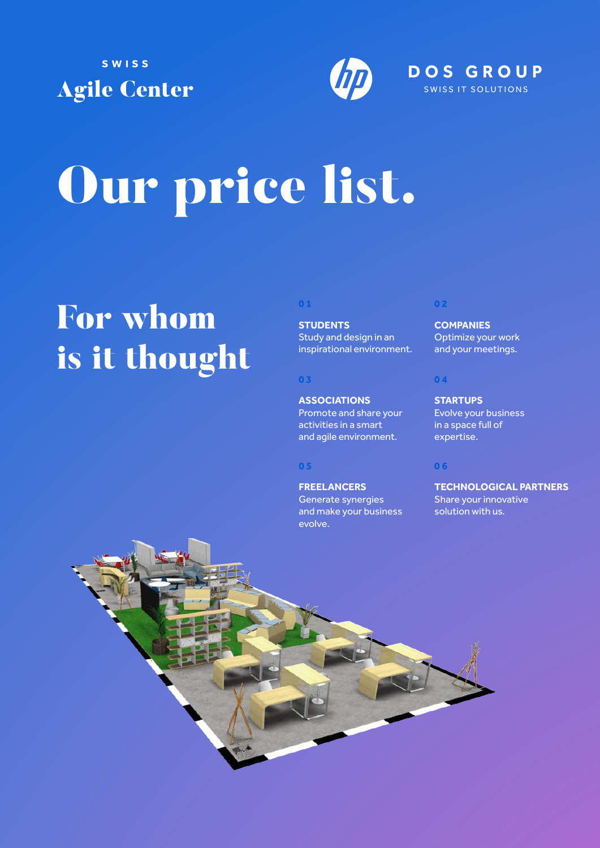



# Our price list.

### For whom is it thought

#### **0 1**

**STUDENTS** Study and design in an inspirational environment.

#### **0 3**

**ASSOCIATIONS** Promote and share your activities in a smart and agile environment.

**FREELANCERS** Generate synergies and make your business evolve.

#### **0 2**

**COMPANIES** Optimize your work and your meetings.

#### **0 4**

**STARTUPS** Evolve your business in a space full of expertise.

#### **0 5 0 6**

**TECHNOLOGICAL PARTNERS** Share your innovative solution with us.

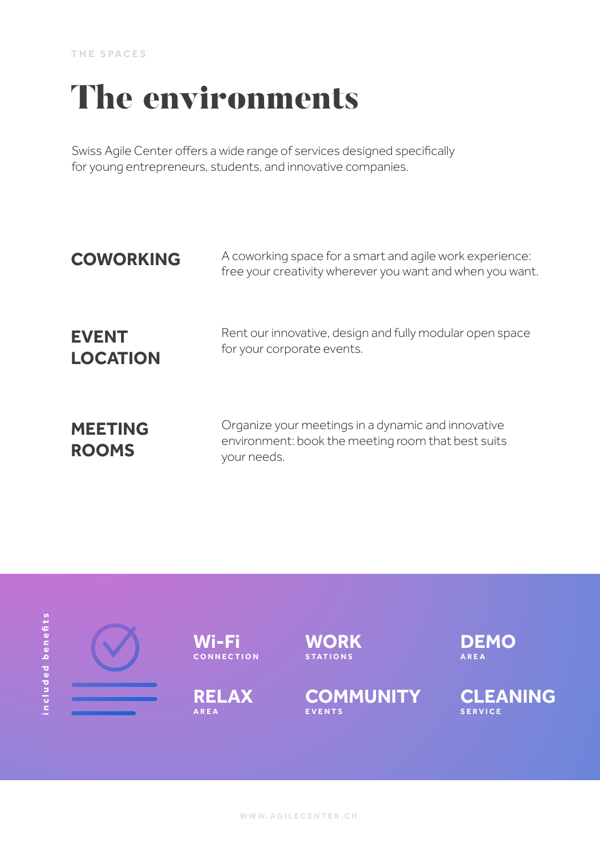### The environments

Swiss Agile Center offers a wide range of services designed specifically for young entrepreneurs, students, and innovative companies.

| <b>COWORKING</b>                | A coworking space for a smart and agile work experience:<br>free your creativity wherever you want and when you want.   |
|---------------------------------|-------------------------------------------------------------------------------------------------------------------------|
| <b>EVENT</b><br><b>LOCATION</b> | Rent our innovative, design and fully modular open space<br>for your corporate events.                                  |
| <b>MEETING</b><br><b>ROOMS</b>  | Organize your meetings in a dynamic and innovative<br>environment: book the meeting room that best suits<br>your needs. |

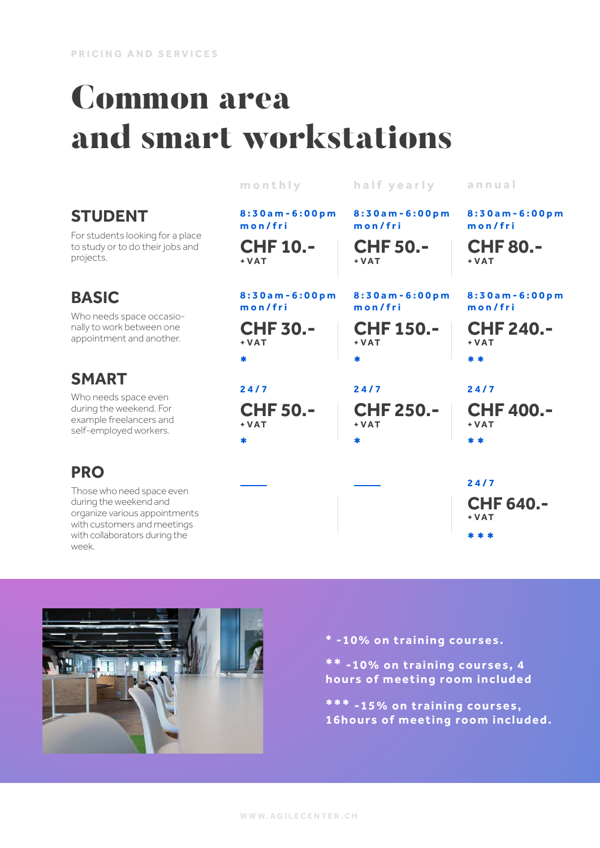### Common area and smart workstations

|                                                                                                                      | monthly                           | half yearly                   | annual                              |
|----------------------------------------------------------------------------------------------------------------------|-----------------------------------|-------------------------------|-------------------------------------|
| <b>STUDENT</b><br>For students looking for a place<br>to study or to do their jobs and<br>projects.                  | 8:30am-6:00pm<br>mon/fri          | 8:30am-6:00pm<br>mon/fri      | 8:30am-6:00pm<br>mon/fri            |
|                                                                                                                      | <b>CHF 10.-</b><br>$+ VAT$        | <b>CHF 50.-</b><br>$+VAT$     | <b>CHF 80.-</b><br>$+ VAT$          |
| <b>BASIC</b><br>Who needs space occasio-<br>nally to work between one<br>appointment and another.                    | 8:30am-6:00pm<br>mon/fri          | 8:30am-6:00pm<br>$m$ on/fri   | 8:30am-6:00pm<br>mon/fri            |
|                                                                                                                      | <b>CHF 30.-</b><br>$+ VAT$        | <b>CHF 150.-</b><br>$+VAT$    | <b>CHF 240.-</b><br>$+ VAT$         |
| <b>SMART</b><br>Who needs space even<br>during the weekend. For<br>example freelancers and<br>self-employed workers. | $\ast$<br>24/7<br><b>CHF 50.-</b> | *<br>24/7<br><b>CHF 250.-</b> | * *<br>24/7<br><b>CHF 400.-</b>     |
|                                                                                                                      | $+ VAT$<br>$\ast$                 | $+VAT$<br>$\bullet$           | $+ VAT$<br>* *                      |
| <b>PRO</b>                                                                                                           |                                   |                               |                                     |
| Those who need space even<br>during the weekend and<br>organize various appointments<br>with customers and meetings  |                                   |                               | 24/7<br><b>CHF 640.-</b><br>$+ VAT$ |
| with collaborators during the<br>week.                                                                               |                                   |                               |                                     |



\* -10% on training courses.

**\* \*** -10% on training courses, 4 hours of meeting room included

**\*\*\*** -15% on training courses, 16hours of meeting room included.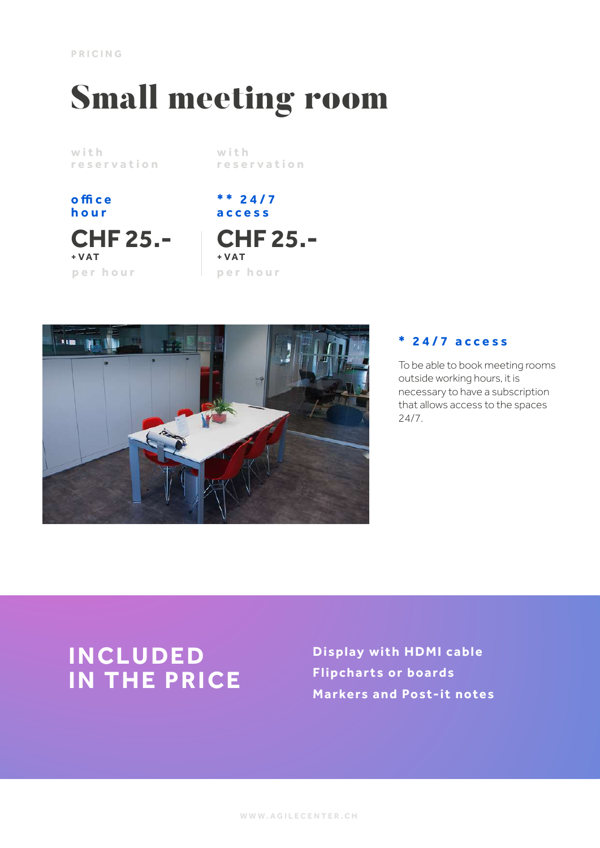**PRICING**

## Small meeting room

with reservation with reservation

office hour

**CHF 25.- + VAT** per hour per hour

\*\* 24/7 access

**CHF 25.- + VAT**



#### **\*** 24/7 access

To be able to book meeting rooms outside working hours, it is necessary to have a subscription that allows access to the spaces 24/7.

### **INCLUDED IN THE PRICE**

Display with HDMI cable Flipcharts or boards Markers and Post-it notes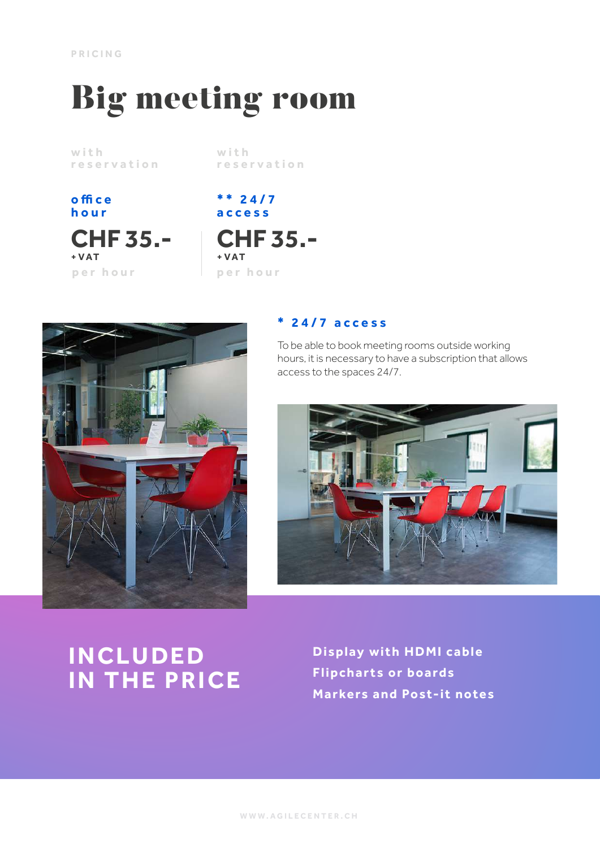## Big meeting room

with reservation

with reservation

office hour

**CHF 35.- + VAT** per hour per hour

\*\* 24/7 access

**CHF 35.- + VAT**



#### **\*** 24/7 access

To be able to book meeting rooms outside working hours, it is necessary to have a subscription that allows access to the spaces 24/7.



### **INCLUDED IN THE PRICE**

Display with HDMI cable Flipcharts or boards Markers and Post-it notes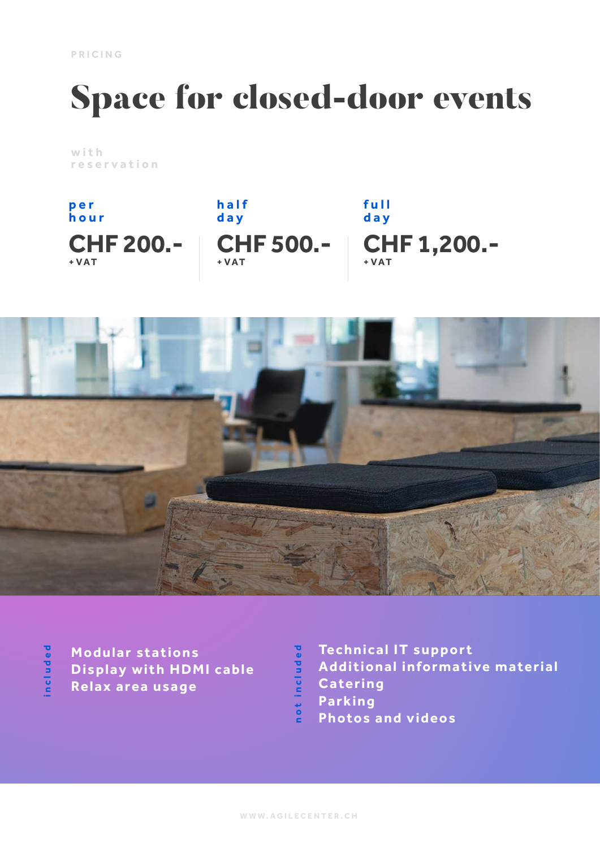## Space for closed-door events

with reservation





Modular stations Display with HDMI cable Relax area usage

**included**

ncluded

Technical IT support not included Additional informative material Catering Parking Photos and videos

not included